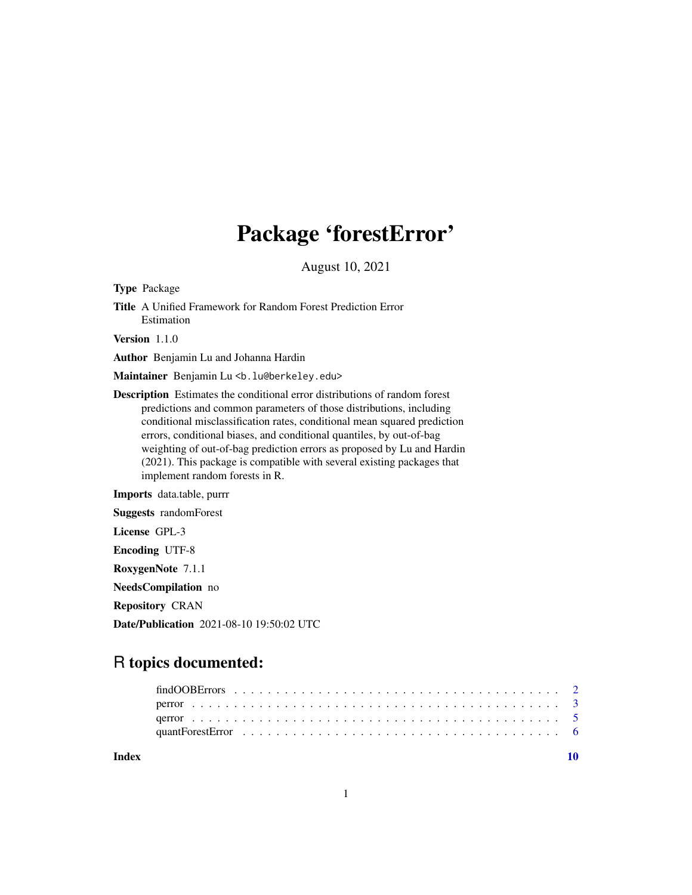# Package 'forestError'

August 10, 2021

Type Package Title A Unified Framework for Random Forest Prediction Error Estimation Version 1.1.0 Author Benjamin Lu and Johanna Hardin Maintainer Benjamin Lu <b. lu@berkeley.edu>

Description Estimates the conditional error distributions of random forest predictions and common parameters of those distributions, including conditional misclassification rates, conditional mean squared prediction errors, conditional biases, and conditional quantiles, by out-of-bag weighting of out-of-bag prediction errors as proposed by Lu and Hardin (2021). This package is compatible with several existing packages that implement random forests in R.

Imports data.table, purrr

Suggests randomForest

License GPL-3

Encoding UTF-8

RoxygenNote 7.1.1

NeedsCompilation no

Repository CRAN

Date/Publication 2021-08-10 19:50:02 UTC

# R topics documented:

| Index |  |
|-------|--|
|       |  |
|       |  |
|       |  |
|       |  |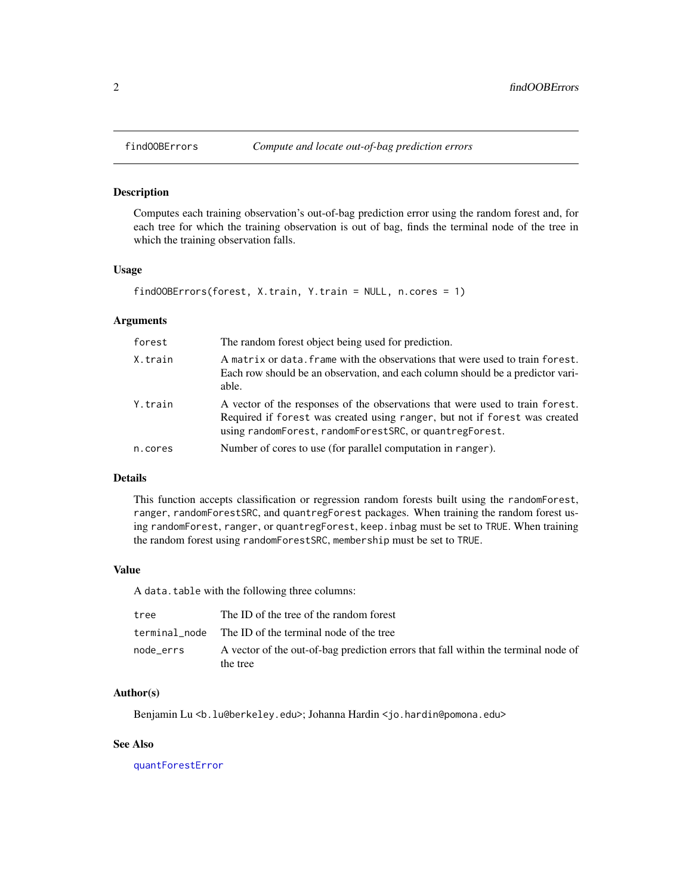# Description

Computes each training observation's out-of-bag prediction error using the random forest and, for each tree for which the training observation is out of bag, finds the terminal node of the tree in which the training observation falls.

#### Usage

```
findOOBErrors(forest, X.train, Y.train = NULL, n.cores = 1)
```
#### Arguments

| forest  | The random forest object being used for prediction.                                                                                                                                                                    |
|---------|------------------------------------------------------------------------------------------------------------------------------------------------------------------------------------------------------------------------|
| X.train | A matrix or data. frame with the observations that were used to train forest.<br>Each row should be an observation, and each column should be a predictor vari-<br>able.                                               |
| Y.train | A vector of the responses of the observations that were used to train forest.<br>Required if forest was created using ranger, but not if forest was created<br>using randomForest, randomForestSRC, or quantregForest. |
| n.cores | Number of cores to use (for parallel computation in ranger).                                                                                                                                                           |

# Details

This function accepts classification or regression random forests built using the randomForest, ranger, randomForestSRC, and quantregForest packages. When training the random forest using randomForest, ranger, or quantregForest, keep.inbag must be set to TRUE. When training the random forest using randomForestSRC, membership must be set to TRUE.

#### Value

A data.table with the following three columns:

| tree      | The ID of the tree of the random forest                                                        |
|-----------|------------------------------------------------------------------------------------------------|
|           | terminal node The ID of the terminal node of the tree                                          |
| node errs | A vector of the out-of-bag prediction errors that fall within the terminal node of<br>the tree |

#### Author(s)

Benjamin Lu <b. lu@berkeley.edu>; Johanna Hardin <jo.hardin@pomona.edu>

# See Also

[quantForestError](#page-5-1)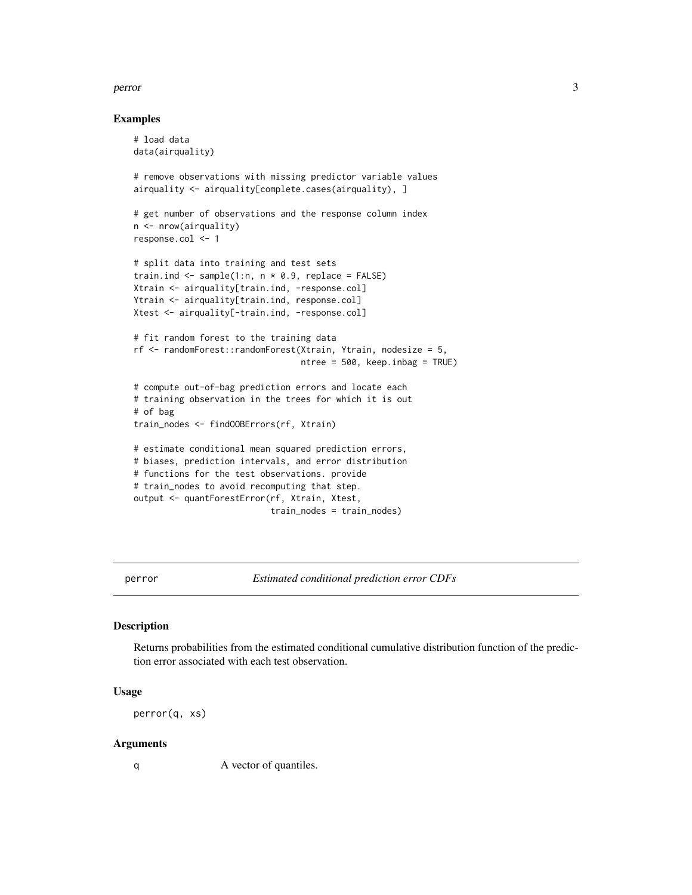#### <span id="page-2-0"></span>perror 3

#### Examples

```
# load data
data(airquality)
# remove observations with missing predictor variable values
airquality <- airquality[complete.cases(airquality), ]
# get number of observations and the response column index
n <- nrow(airquality)
response.col <- 1
# split data into training and test sets
train.ind <- sample(1:n, n \times 0.9, replace = FALSE)
Xtrain <- airquality[train.ind, -response.col]
Ytrain <- airquality[train.ind, response.col]
Xtest <- airquality[-train.ind, -response.col]
# fit random forest to the training data
rf <- randomForest::randomForest(Xtrain, Ytrain, nodesize = 5,
                                 ntree = 500, keep.inbag = TRUE)
# compute out-of-bag prediction errors and locate each
# training observation in the trees for which it is out
# of bag
train_nodes <- findOOBErrors(rf, Xtrain)
# estimate conditional mean squared prediction errors,
# biases, prediction intervals, and error distribution
# functions for the test observations. provide
# train_nodes to avoid recomputing that step.
output <- quantForestError(rf, Xtrain, Xtest,
                           train_nodes = train_nodes)
```
<span id="page-2-1"></span>perror *Estimated conditional prediction error CDFs*

#### Description

Returns probabilities from the estimated conditional cumulative distribution function of the prediction error associated with each test observation.

#### Usage

perror(q, xs)

#### Arguments

q A vector of quantiles.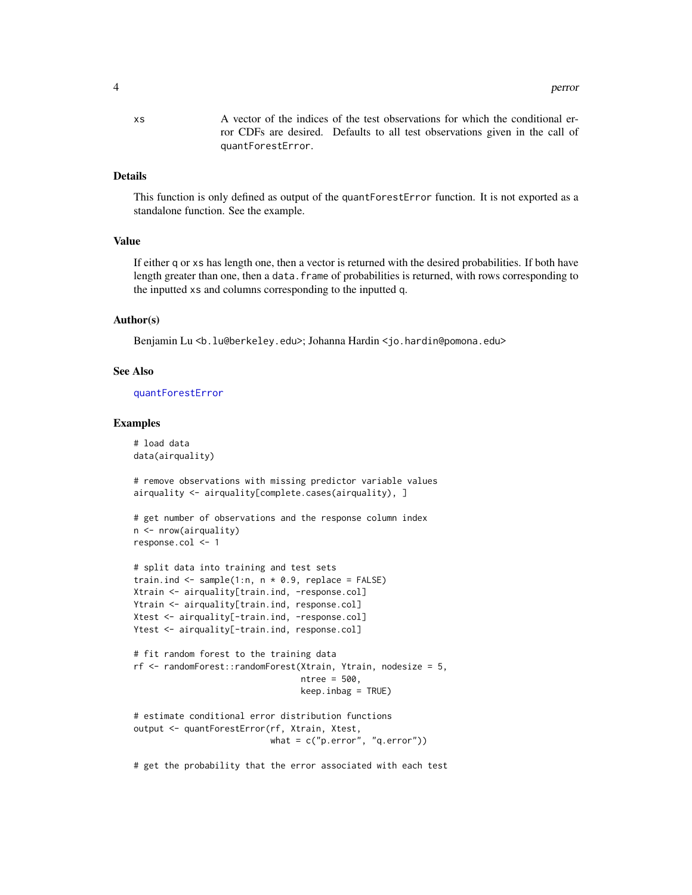<span id="page-3-0"></span>xs A vector of the indices of the test observations for which the conditional error CDFs are desired. Defaults to all test observations given in the call of quantForestError.

#### Details

This function is only defined as output of the quantForestError function. It is not exported as a standalone function. See the example.

#### Value

If either q or xs has length one, then a vector is returned with the desired probabilities. If both have length greater than one, then a data. frame of probabilities is returned, with rows corresponding to the inputted xs and columns corresponding to the inputted q.

#### Author(s)

Benjamin Lu <b.lu@berkeley.edu>; Johanna Hardin <jo.hardin@pomona.edu>

#### See Also

[quantForestError](#page-5-1)

#### Examples

# load data data(airquality)

# remove observations with missing predictor variable values airquality <- airquality[complete.cases(airquality), ]

```
# get number of observations and the response column index
n <- nrow(airquality)
response.col <- 1
```

```
# split data into training and test sets
train.ind <- sample(1:n, n \times 0.9, replace = FALSE)
Xtrain <- airquality[train.ind, -response.col]
Ytrain <- airquality[train.ind, response.col]
Xtest <- airquality[-train.ind, -response.col]
Ytest <- airquality[-train.ind, response.col]
```

```
# fit random forest to the training data
rf <- randomForest::randomForest(Xtrain, Ytrain, nodesize = 5,
                                 ntree = 500,
                                 keep.inbag = TRUE)
```

```
# estimate conditional error distribution functions
output <- quantForestError(rf, Xtrain, Xtest,
                          what = c("p.error", "q.error")
```
# get the probability that the error associated with each test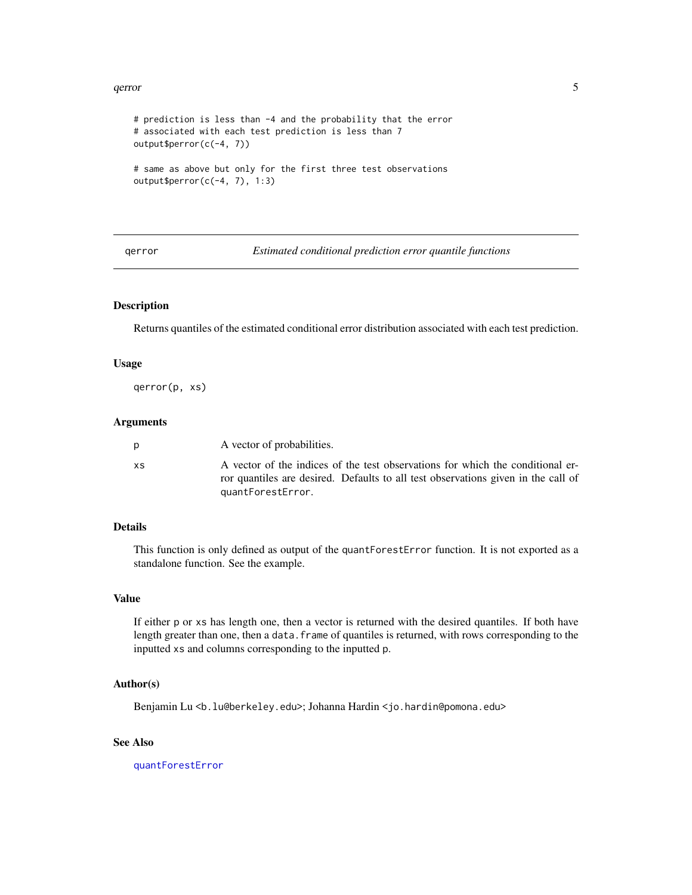#### <span id="page-4-0"></span>qerror 55 and 55 and 55 and 55 and 55 and 55 and 55 and 55 and 55 and 55 and 55 and 55 and 55 and 55 and 55 and 55 and 55 and 55 and 55 and 55 and 55 and 55 and 55 and 55 and 55 and 55 and 55 and 55 and 55 and 55 and 55 an

```
# prediction is less than -4 and the probability that the error
# associated with each test prediction is less than 7
output$perror(c(-4, 7))
# same as above but only for the first three test observations
output$perror(c(-4, 7), 1:3)
```
<span id="page-4-1"></span>qerror *Estimated conditional prediction error quantile functions*

# Description

Returns quantiles of the estimated conditional error distribution associated with each test prediction.

#### Usage

qerror(p, xs)

# Arguments

| A vector of probabilities. |                                                                                   |
|----------------------------|-----------------------------------------------------------------------------------|
| XS.                        | A vector of the indices of the test observations for which the conditional er-    |
| quantForestError.          | ror quantiles are desired. Defaults to all test observations given in the call of |

# Details

This function is only defined as output of the quantForestError function. It is not exported as a standalone function. See the example.

## Value

If either p or xs has length one, then a vector is returned with the desired quantiles. If both have length greater than one, then a data. frame of quantiles is returned, with rows corresponding to the inputted xs and columns corresponding to the inputted p.

# Author(s)

Benjamin Lu <b. lu@berkeley.edu>; Johanna Hardin <jo.hardin@pomona.edu>

#### See Also

[quantForestError](#page-5-1)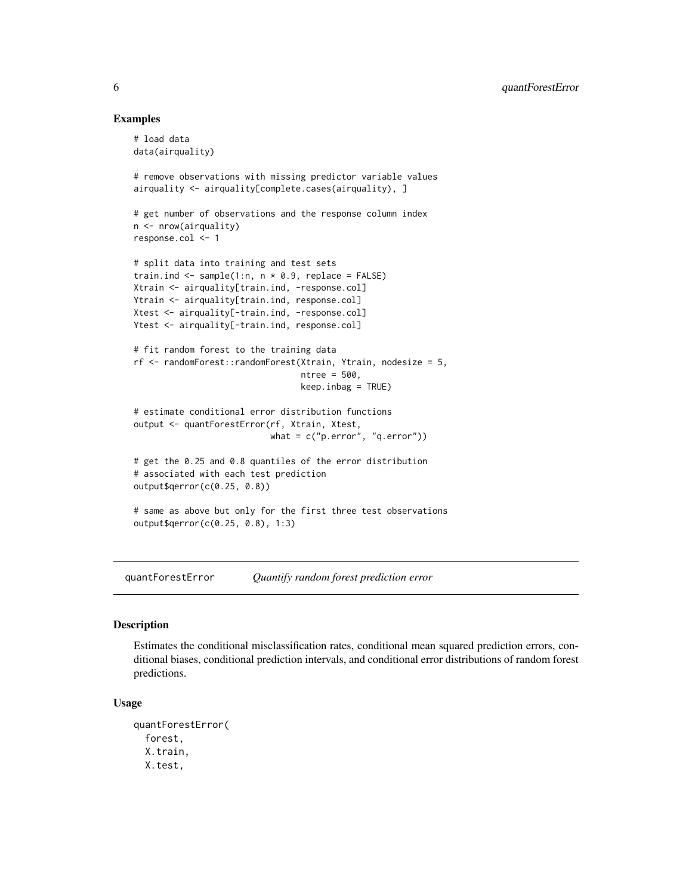#### Examples

```
# load data
data(airquality)
# remove observations with missing predictor variable values
airquality <- airquality[complete.cases(airquality), ]
# get number of observations and the response column index
n <- nrow(airquality)
response.col <- 1
# split data into training and test sets
train.ind \leq sample(1:n, n * 0.9, replace = FALSE)
Xtrain <- airquality[train.ind, -response.col]
Ytrain <- airquality[train.ind, response.col]
Xtest <- airquality[-train.ind, -response.col]
Ytest <- airquality[-train.ind, response.col]
# fit random forest to the training data
rf <- randomForest::randomForest(Xtrain, Ytrain, nodesize = 5,
                                 ntree = 500,
                                 keep.infoag = TRUE)
# estimate conditional error distribution functions
output <- quantForestError(rf, Xtrain, Xtest,
                           what = c("p.error", "q.error")# get the 0.25 and 0.8 quantiles of the error distribution
# associated with each test prediction
output$qerror(c(0.25, 0.8))
# same as above but only for the first three test observations
output$qerror(c(0.25, 0.8), 1:3)
```
<span id="page-5-1"></span>quantForestError *Quantify random forest prediction error*

#### Description

Estimates the conditional misclassification rates, conditional mean squared prediction errors, conditional biases, conditional prediction intervals, and conditional error distributions of random forest predictions.

#### Usage

```
quantForestError(
  forest,
  X.train,
  X.test,
```
<span id="page-5-0"></span>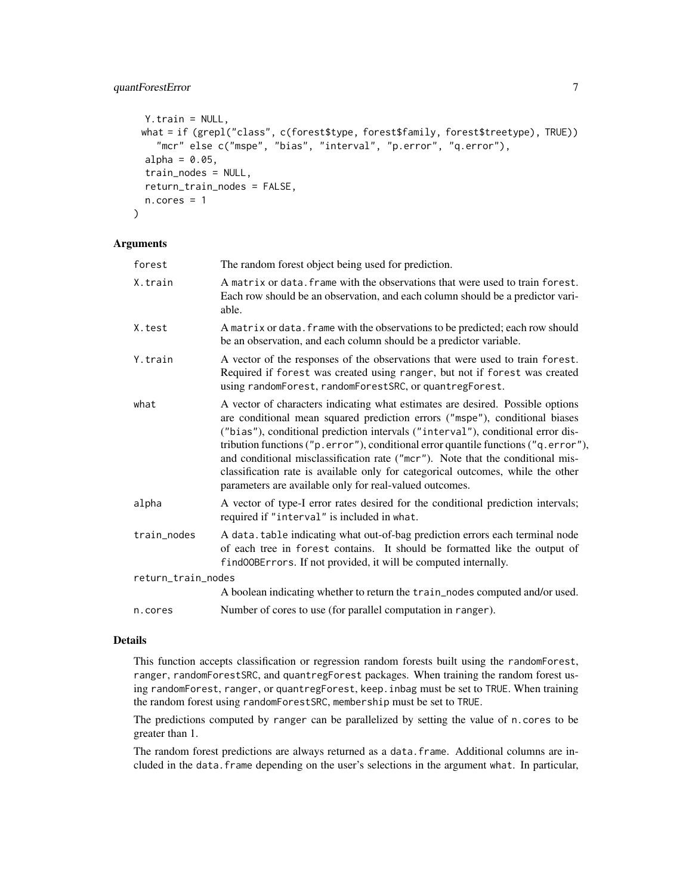# quantForestError 7

```
Y.train = NULL,
 what = if (grepl("class", c(forest$type, forest$family, forest$treetype), TRUE))
    "mcr" else c("mspe", "bias", "interval", "p.error", "q.error"),
  alpha = 0.05,
  train_nodes = NULL,
  return_train_nodes = FALSE,
 n.core = 1
\lambda
```
#### Arguments

| forest             | The random forest object being used for prediction.                                                                                                                                                                                                                                                                                                                                                                                                                                                                                                                    |  |  |
|--------------------|------------------------------------------------------------------------------------------------------------------------------------------------------------------------------------------------------------------------------------------------------------------------------------------------------------------------------------------------------------------------------------------------------------------------------------------------------------------------------------------------------------------------------------------------------------------------|--|--|
| X.train            | A matrix or data. frame with the observations that were used to train forest.<br>Each row should be an observation, and each column should be a predictor vari-<br>able.                                                                                                                                                                                                                                                                                                                                                                                               |  |  |
| X.test             | A matrix or data. frame with the observations to be predicted; each row should<br>be an observation, and each column should be a predictor variable.                                                                                                                                                                                                                                                                                                                                                                                                                   |  |  |
| Y.train            | A vector of the responses of the observations that were used to train forest.<br>Required if forest was created using ranger, but not if forest was created<br>using randomForest, randomForestSRC, or quantregForest.                                                                                                                                                                                                                                                                                                                                                 |  |  |
| what               | A vector of characters indicating what estimates are desired. Possible options<br>are conditional mean squared prediction errors ("mspe"), conditional biases<br>("bias"), conditional prediction intervals ("interval"), conditional error dis-<br>tribution functions ("p.error"), conditional error quantile functions ("q.error"),<br>and conditional misclassification rate ("mcr"). Note that the conditional mis-<br>classification rate is available only for categorical outcomes, while the other<br>parameters are available only for real-valued outcomes. |  |  |
| alpha              | A vector of type-I error rates desired for the conditional prediction intervals;<br>required if "interval" is included in what.                                                                                                                                                                                                                                                                                                                                                                                                                                        |  |  |
| train_nodes        | A data. table indicating what out-of-bag prediction errors each terminal node<br>of each tree in forest contains. It should be formatted like the output of<br>find00BErrors. If not provided, it will be computed internally.                                                                                                                                                                                                                                                                                                                                         |  |  |
| return_train_nodes |                                                                                                                                                                                                                                                                                                                                                                                                                                                                                                                                                                        |  |  |
|                    | A boolean indicating whether to return the train_nodes computed and/or used.                                                                                                                                                                                                                                                                                                                                                                                                                                                                                           |  |  |
| n.cores            | Number of cores to use (for parallel computation in ranger).                                                                                                                                                                                                                                                                                                                                                                                                                                                                                                           |  |  |
|                    |                                                                                                                                                                                                                                                                                                                                                                                                                                                                                                                                                                        |  |  |

# Details

This function accepts classification or regression random forests built using the randomForest, ranger, randomForestSRC, and quantregForest packages. When training the random forest using randomForest, ranger, or quantregForest, keep.inbag must be set to TRUE. When training the random forest using randomForestSRC, membership must be set to TRUE.

The predictions computed by ranger can be parallelized by setting the value of n.cores to be greater than 1.

The random forest predictions are always returned as a data.frame. Additional columns are included in the data.frame depending on the user's selections in the argument what. In particular,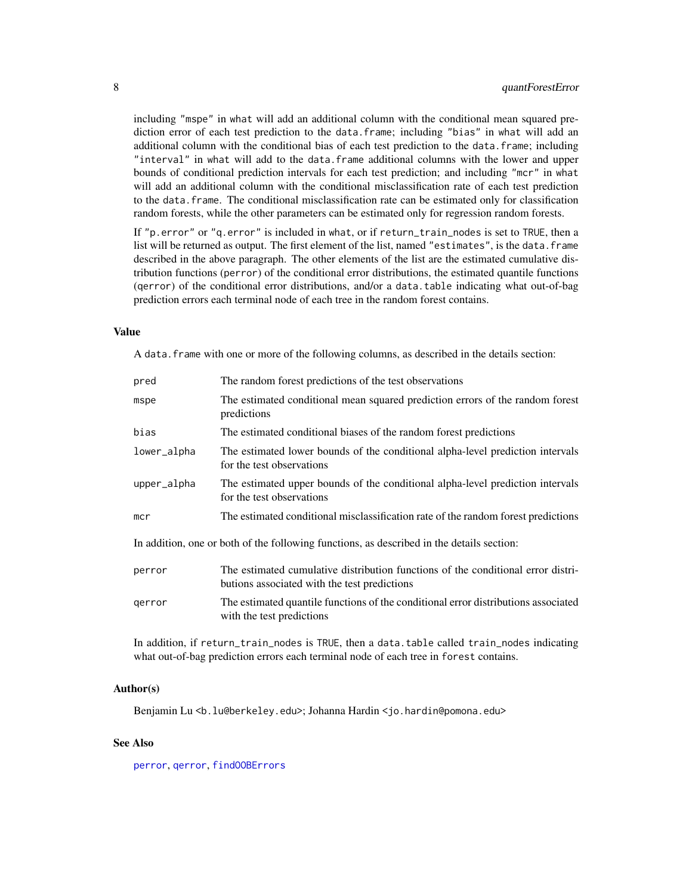<span id="page-7-0"></span>including "mspe" in what will add an additional column with the conditional mean squared prediction error of each test prediction to the data.frame; including "bias" in what will add an additional column with the conditional bias of each test prediction to the data.frame; including "interval" in what will add to the data.frame additional columns with the lower and upper bounds of conditional prediction intervals for each test prediction; and including "mcr" in what will add an additional column with the conditional misclassification rate of each test prediction to the data.frame. The conditional misclassification rate can be estimated only for classification random forests, while the other parameters can be estimated only for regression random forests.

If "p.error" or "q.error" is included in what, or if return\_train\_nodes is set to TRUE, then a list will be returned as output. The first element of the list, named "estimates", is the data.frame described in the above paragraph. The other elements of the list are the estimated cumulative distribution functions (perror) of the conditional error distributions, the estimated quantile functions (qerror) of the conditional error distributions, and/or a data.table indicating what out-of-bag prediction errors each terminal node of each tree in the random forest contains.

#### Value

A data.frame with one or more of the following columns, as described in the details section:

| pred                                                                                      | The random forest predictions of the test observations                                                                           |  |  |  |
|-------------------------------------------------------------------------------------------|----------------------------------------------------------------------------------------------------------------------------------|--|--|--|
| mspe                                                                                      | The estimated conditional mean squared prediction errors of the random forest<br>predictions                                     |  |  |  |
| bias                                                                                      | The estimated conditional biases of the random forest predictions                                                                |  |  |  |
| lower_alpha                                                                               | The estimated lower bounds of the conditional alpha-level prediction intervals<br>for the test observations                      |  |  |  |
| upper_alpha                                                                               | The estimated upper bounds of the conditional alpha-level prediction intervals<br>for the test observations                      |  |  |  |
| mcr                                                                                       | The estimated conditional misclassification rate of the random forest predictions                                                |  |  |  |
| In addition, one or both of the following functions, as described in the details section: |                                                                                                                                  |  |  |  |
| perror                                                                                    | The estimated cumulative distribution functions of the conditional error distri-<br>butions associated with the test predictions |  |  |  |
| gerror                                                                                    | The estimated quantile functions of the conditional error distributions associated<br>with the test predictions                  |  |  |  |

In addition, if return\_train\_nodes is TRUE, then a data.table called train\_nodes indicating what out-of-bag prediction errors each terminal node of each tree in forest contains.

#### Author(s)

Benjamin Lu <b. lu@berkeley.edu>; Johanna Hardin < jo.hardin@pomona.edu>

#### See Also

[perror](#page-2-1), [qerror](#page-4-1), [findOOBErrors](#page-1-1)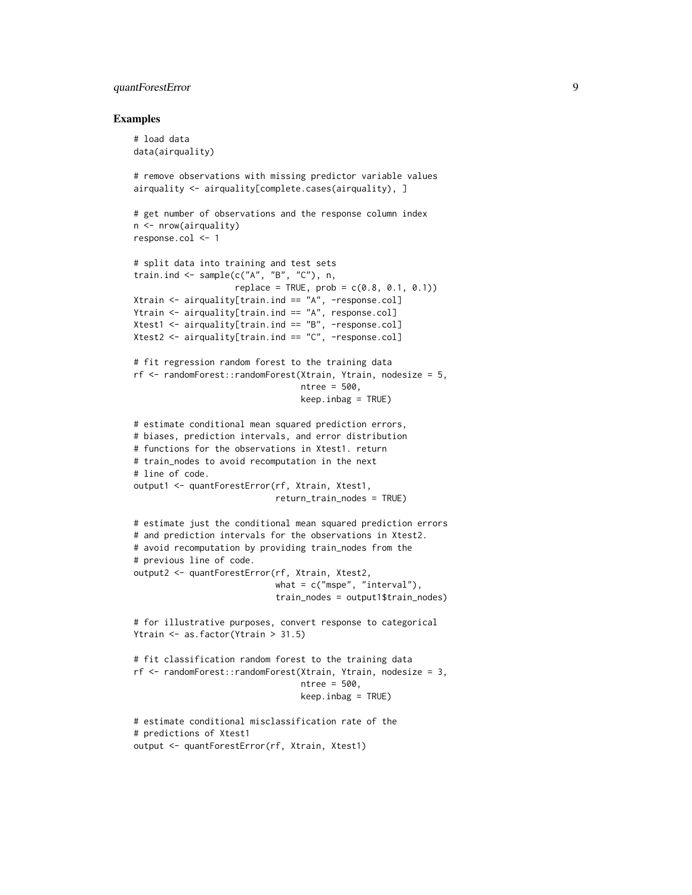# quantForestError 9

#### Examples

```
# load data
data(airquality)
# remove observations with missing predictor variable values
airquality <- airquality[complete.cases(airquality), ]
# get number of observations and the response column index
n <- nrow(airquality)
response.col <- 1
# split data into training and test sets
train.ind <- sample(c("A", "B", "C"), n,
                    replace = TRUE, prob = c(0.8, 0.1, 0.1)Xtrain \leq airquality[train.ind == "A", -response.col]
Ytrain \leq airquality[train.ind == \sqrt[n]{A}, response.col]
Xtest1 \le airquality[train.ind == "B", -response.col]
Xtest2 <- airquality[train.ind == "C", -response.col]
# fit regression random forest to the training data
rf <- randomForest::randomForest(Xtrain, Ytrain, nodesize = 5,
                                 ntree = 500,
                                 keep.inbag = TRUE)
# estimate conditional mean squared prediction errors,
# biases, prediction intervals, and error distribution
# functions for the observations in Xtest1. return
# train_nodes to avoid recomputation in the next
# line of code.
output1 <- quantForestError(rf, Xtrain, Xtest1,
                            return_train_nodes = TRUE)
# estimate just the conditional mean squared prediction errors
# and prediction intervals for the observations in Xtest2.
# avoid recomputation by providing train_nodes from the
# previous line of code.
output2 <- quantForestError(rf, Xtrain, Xtest2,
                            what = c("mspe", "interval"),train_nodes = output1$train_nodes)
# for illustrative purposes, convert response to categorical
Ytrain <- as.factor(Ytrain > 31.5)
# fit classification random forest to the training data
rf <- randomForest::randomForest(Xtrain, Ytrain, nodesize = 3,
                                 ntree = 500,
                                 keep.inbag = TRUE)
# estimate conditional misclassification rate of the
# predictions of Xtest1
output <- quantForestError(rf, Xtrain, Xtest1)
```